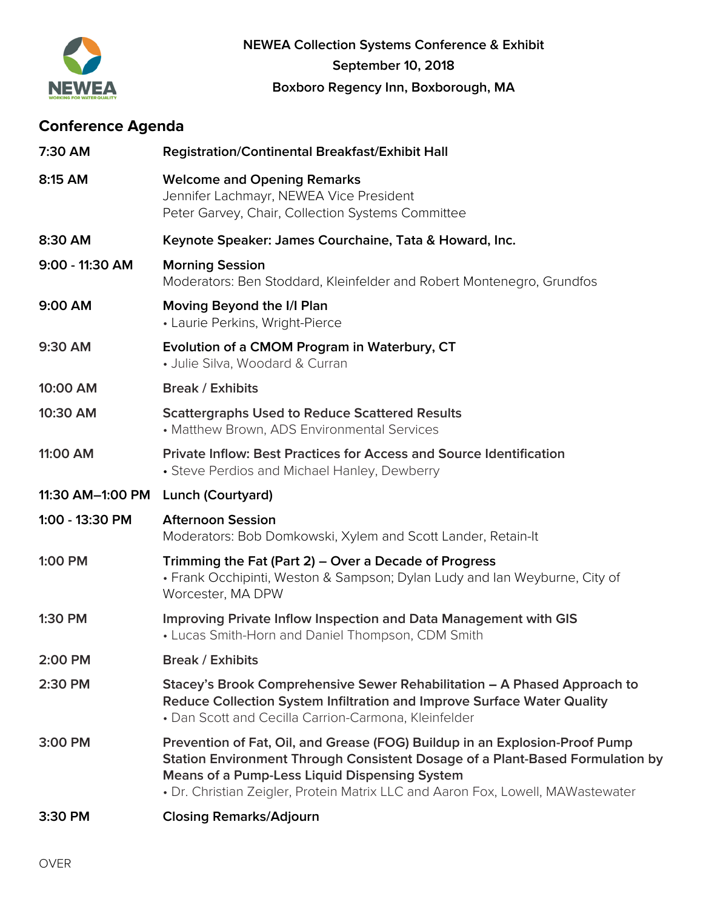

# **Conference Agenda**

| 7:30 AM          | <b>Registration/Continental Breakfast/Exhibit Hall</b>                                                                                                                                                                                                                                                  |  |
|------------------|---------------------------------------------------------------------------------------------------------------------------------------------------------------------------------------------------------------------------------------------------------------------------------------------------------|--|
| 8:15 AM          | <b>Welcome and Opening Remarks</b><br>Jennifer Lachmayr, NEWEA Vice President<br>Peter Garvey, Chair, Collection Systems Committee                                                                                                                                                                      |  |
| 8:30 AM          | Keynote Speaker: James Courchaine, Tata & Howard, Inc.                                                                                                                                                                                                                                                  |  |
| 9:00 - 11:30 AM  | <b>Morning Session</b><br>Moderators: Ben Stoddard, Kleinfelder and Robert Montenegro, Grundfos                                                                                                                                                                                                         |  |
| 9:00 AM          | Moving Beyond the I/I Plan<br>• Laurie Perkins, Wright-Pierce                                                                                                                                                                                                                                           |  |
| 9:30 AM          | Evolution of a CMOM Program in Waterbury, CT<br>• Julie Silva, Woodard & Curran                                                                                                                                                                                                                         |  |
| 10:00 AM         | <b>Break / Exhibits</b>                                                                                                                                                                                                                                                                                 |  |
| 10:30 AM         | <b>Scattergraphs Used to Reduce Scattered Results</b><br>• Matthew Brown, ADS Environmental Services                                                                                                                                                                                                    |  |
| 11:00 AM         | <b>Private Inflow: Best Practices for Access and Source Identification</b><br>• Steve Perdios and Michael Hanley, Dewberry                                                                                                                                                                              |  |
| 11:30 AM-1:00 PM | Lunch (Courtyard)                                                                                                                                                                                                                                                                                       |  |
| 1:00 - 13:30 PM  | <b>Afternoon Session</b><br>Moderators: Bob Domkowski, Xylem and Scott Lander, Retain-It                                                                                                                                                                                                                |  |
| 1:00 PM          | Trimming the Fat (Part 2) – Over a Decade of Progress<br>• Frank Occhipinti, Weston & Sampson; Dylan Ludy and Ian Weyburne, City of<br>Worcester, MA DPW                                                                                                                                                |  |
| 1:30 PM          | Improving Private Inflow Inspection and Data Management with GIS<br>• Lucas Smith-Horn and Daniel Thompson, CDM Smith                                                                                                                                                                                   |  |
| 2:00 PM          | <b>Break / Exhibits</b>                                                                                                                                                                                                                                                                                 |  |
| 2:30 PM          | Stacey's Brook Comprehensive Sewer Rehabilitation - A Phased Approach to<br>Reduce Collection System Infiltration and Improve Surface Water Quality<br>• Dan Scott and Cecilla Carrion-Carmona, Kleinfelder                                                                                             |  |
| 3:00 PM          | Prevention of Fat, Oil, and Grease (FOG) Buildup in an Explosion-Proof Pump<br>Station Environment Through Consistent Dosage of a Plant-Based Formulation by<br><b>Means of a Pump-Less Liquid Dispensing System</b><br>• Dr. Christian Zeigler, Protein Matrix LLC and Aaron Fox, Lowell, MAWastewater |  |
| 3:30 PM          | <b>Closing Remarks/Adjourn</b>                                                                                                                                                                                                                                                                          |  |
|                  |                                                                                                                                                                                                                                                                                                         |  |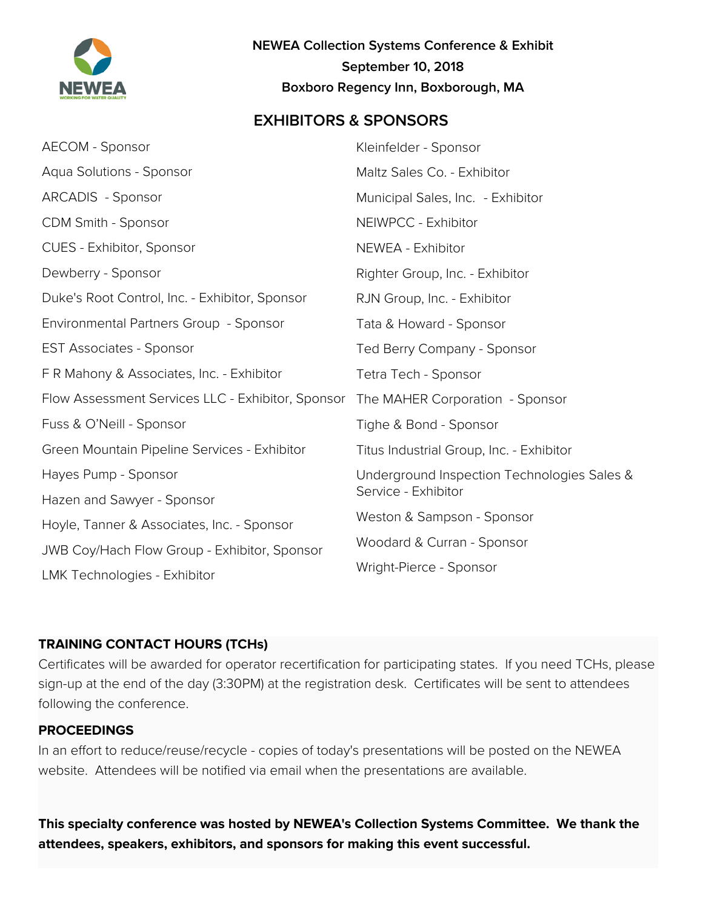

**NEWEA Collection Systems Conference & Exhibit September 10, 2018 Boxboro Regency Inn, Boxborough, MA**

## **EXHIBITORS & SPONSORS**

| AECOM - Sponsor                                   | Kleinfelder - Sponsor                                              |
|---------------------------------------------------|--------------------------------------------------------------------|
| Aqua Solutions - Sponsor                          | Maltz Sales Co. - Exhibitor                                        |
| ARCADIS - Sponsor                                 | Municipal Sales, Inc. - Exhibitor                                  |
| <b>CDM Smith - Sponsor</b>                        | NEIWPCC - Exhibitor                                                |
| CUES - Exhibitor, Sponsor                         | NEWEA - Exhibitor                                                  |
| Dewberry - Sponsor                                | Righter Group, Inc. - Exhibitor                                    |
| Duke's Root Control, Inc. - Exhibitor, Sponsor    | RJN Group, Inc. - Exhibitor                                        |
| Environmental Partners Group - Sponsor            | Tata & Howard - Sponsor                                            |
| <b>EST Associates - Sponsor</b>                   | Ted Berry Company - Sponsor                                        |
| F R Mahony & Associates, Inc. - Exhibitor         | Tetra Tech - Sponsor                                               |
| Flow Assessment Services LLC - Exhibitor, Sponsor | The MAHER Corporation - Sponsor                                    |
| Fuss & O'Neill - Sponsor                          | Tighe & Bond - Sponsor                                             |
| Green Mountain Pipeline Services - Exhibitor      | Titus Industrial Group, Inc. - Exhibitor                           |
| Hayes Pump - Sponsor                              | Underground Inspection Technologies Sales &<br>Service - Exhibitor |
| Hazen and Sawyer - Sponsor                        |                                                                    |
| Hoyle, Tanner & Associates, Inc. - Sponsor        | Weston & Sampson - Sponsor                                         |
| JWB Coy/Hach Flow Group - Exhibitor, Sponsor      | Woodard & Curran - Sponsor                                         |
| LMK Technologies - Exhibitor                      | Wright-Pierce - Sponsor                                            |

#### **TRAINING CONTACT HOURS (TCHs)**

Certificates will be awarded for operator recertification for participating states. If you need TCHs, please sign-up at the end of the day (3:30PM) at the registration desk. Certificates will be sent to attendees following the conference.

#### **PROCEEDINGS**

In an effort to reduce/reuse/recycle - copies of today's presentations will be posted on the NEWEA website. Attendees will be notified via email when the presentations are available.

**This specialty conference was hosted by NEWEA's Collection Systems Committee. We thank the attendees, speakers, exhibitors, and sponsors for making this event successful.**